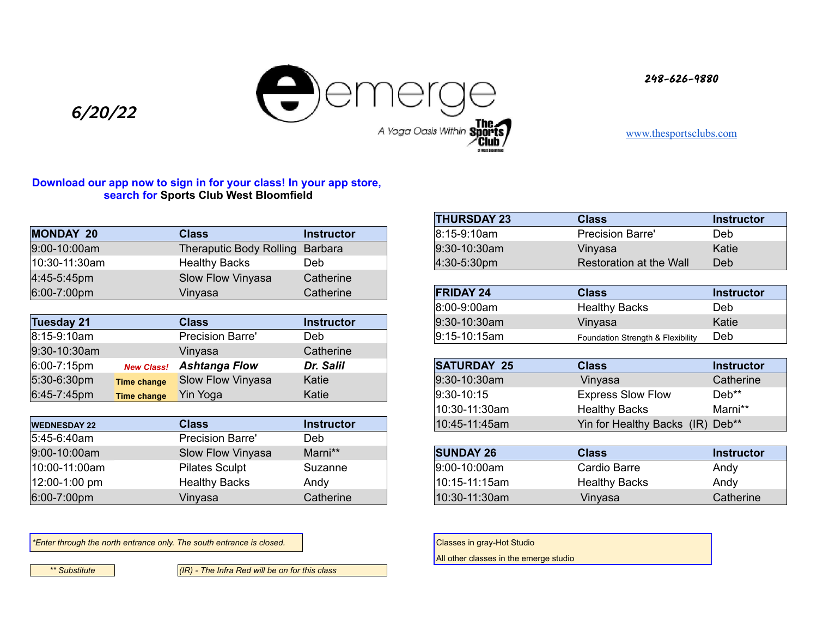

**248-626-9880**

[www.thesportsclubs.com](http://www.thesportsclubs.com)

## **Download our app now to sign in for your class! In your app store, search for Sports Club West Bloomfield**

*6/20/22*

| <b>MONDAY 20</b>        | Class                           | <b>Instructor</b> |
|-------------------------|---------------------------------|-------------------|
| 9:00-10:00am            | Theraputic Body Rolling Barbara |                   |
| 10:30-11:30am           | <b>Healthy Backs</b>            | Deb               |
| $ 4:45-5:45$ pm         | Slow Flow Vinyasa               | Catherine         |
| $6:00 - 7:00 \text{pm}$ | Vinyasa                         | Catherine         |

| Tuesday 21        |                    | <b>Class</b>             | <b>Instructor</b> |
|-------------------|--------------------|--------------------------|-------------------|
| 8:15-9:10am       |                    | <b>Precision Barre'</b>  | Deb               |
| 9:30-10:30am      |                    | Vinvasa                  | Catherine         |
| $ 6:00 - 7:15$ pm | <b>New Class!</b>  | Ashtanga Flow            | Dr. Salil         |
| 5:30-6:30pm       | <b>Time change</b> | <b>Slow Flow Vinyasa</b> | Katie             |
| 6:45-7:45pm       | <b>Time change</b> | <b>Yin Yoga</b>          | Katie             |

| <b>WEDNESDAY 22</b> | Class                   | <b>Instructor</b> |
|---------------------|-------------------------|-------------------|
| $ 5:45-6:40$ am     | <b>Precision Barre'</b> | Deb               |
| $9:00-10:00am$      | Slow Flow Vinyasa       | Marni**           |
| $ 10:00-11:00am $   | <b>Pilates Sculpt</b>   | Suzanne           |
| $ 12:00-1:00$ pm    | <b>Healthy Backs</b>    | Andy              |
| $6:00 - 7:00$ pm    | Vinyasa                 | Catherine         |

\**Enter through the north entrance only. The south entrance is closed.* Classes in gray-Hot Studio **Classes in gray-Hot Studio** 

*\*\* Substitute (IR) - The Infra Red will be on for this class* 

| <b>THURSDAY 23</b> | <b>Class</b>            | <b>Instructor</b> |
|--------------------|-------------------------|-------------------|
| 8:15-9:10am        | <b>Precision Barre'</b> | Deb               |
| 9:30-10:30am       | Vinyasa                 | Katie             |
| 4:30-5:30pm        | Restoration at the Wall | Deb               |

| <b>FRIDAY 24</b> | <b>Class</b>                      | <b>Instructor</b> |
|------------------|-----------------------------------|-------------------|
| $ 8:00-9:00am $  | <b>Healthy Backs</b>              | Deb               |
| $9:30-10:30$ am  | Vinyasa                           | Katie             |
| $9:15-10:15am$   | Foundation Strength & Flexibility | Deb               |

| <b>SATURDAY 25</b> | <b>Class</b>                     | <b>Instructor</b> |
|--------------------|----------------------------------|-------------------|
| 9:30-10:30am       | Vinyasa                          | Catherine         |
| $ 9:30-10:15$      | <b>Express Slow Flow</b>         | $Deb**$           |
| 10:30-11:30am      | <b>Healthy Backs</b>             | Marni**           |
| 10:45-11:45am      | Yin for Healthy Backs (IR) Deb** |                   |

| <b>SUNDAY 26</b> | <b>Class</b>         | <b>Instructor</b> |
|------------------|----------------------|-------------------|
| 9:00-10:00am     | Cardio Barre         | Andy              |
| 10:15-11:15am    | <b>Healthy Backs</b> | Andy              |
| 10:30-11:30am    | Vinyasa              | Catherine         |

All other classes in the emerge studio